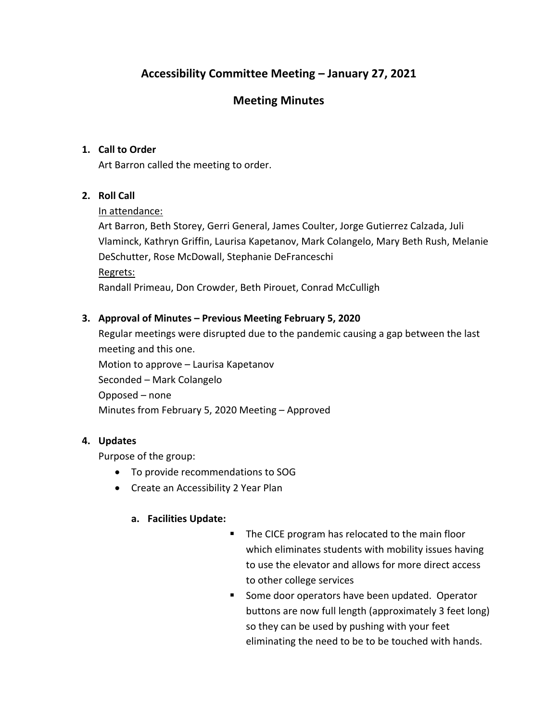# **Accessibility Committee Meeting – January 27, 2021**

## **Meeting Minutes**

## **1. Call to Order**

Art Barron called the meeting to order.

## **2. Roll Call**

### In attendance:

Art Barron, Beth Storey, Gerri General, James Coulter, Jorge Gutierrez Calzada, Juli Vlaminck, Kathryn Griffin, Laurisa Kapetanov, Mark Colangelo, Mary Beth Rush, Melanie DeSchutter, Rose McDowall, Stephanie DeFranceschi Regrets:

Randall Primeau, Don Crowder, Beth Pirouet, Conrad McCulligh

## **3. Approval of Minutes – Previous Meeting February 5, 2020**

Regular meetings were disrupted due to the pandemic causing a gap between the last meeting and this one.

Motion to approve – Laurisa Kapetanov Seconded – Mark Colangelo Opposed – none Minutes from February 5, 2020 Meeting – Approved

## **4. Updates**

Purpose of the group:

- To provide recommendations to SOG
- Create an Accessibility 2 Year Plan

### **a. Facilities Update:**

- The CICE program has relocated to the main floor which eliminates students with mobility issues having to use the elevator and allows for more direct access to other college services
- Some door operators have been updated. Operator buttons are now full length (approximately 3 feet long) so they can be used by pushing with your feet eliminating the need to be to be touched with hands.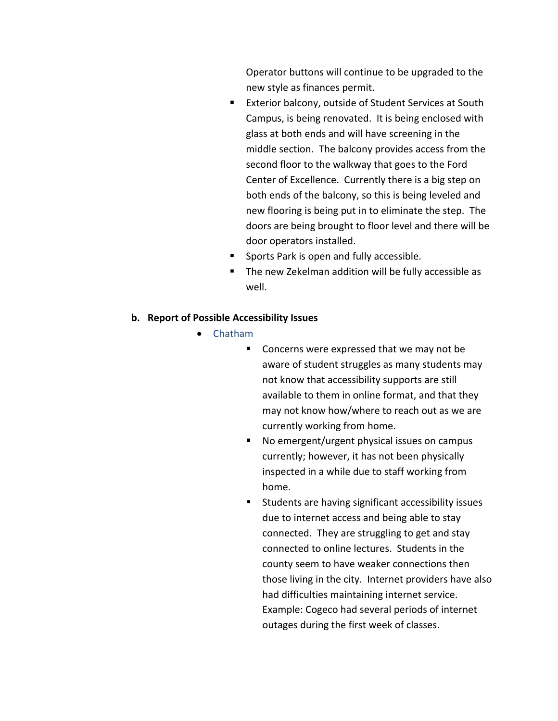Operator buttons will continue to be upgraded to the new style as finances permit.

- Exterior balcony, outside of Student Services at South Campus, is being renovated. It is being enclosed with glass at both ends and will have screening in the middle section. The balcony provides access from the second floor to the walkway that goes to the Ford Center of Excellence. Currently there is a big step on both ends of the balcony, so this is being leveled and new flooring is being put in to eliminate the step. The doors are being brought to floor level and there will be door operators installed.
- Sports Park is open and fully accessible.
- The new Zekelman addition will be fully accessible as well.

#### **b. Report of Possible Accessibility Issues**

- Chatham
	- Concerns were expressed that we may not be aware of student struggles as many students may not know that accessibility supports are still available to them in online format, and that they may not know how/where to reach out as we are currently working from home.
	- No emergent/urgent physical issues on campus currently; however, it has not been physically inspected in a while due to staff working from home.
	- Students are having significant accessibility issues due to internet access and being able to stay connected. They are struggling to get and stay connected to online lectures. Students in the county seem to have weaker connections then those living in the city. Internet providers have also had difficulties maintaining internet service. Example: Cogeco had several periods of internet outages during the first week of classes.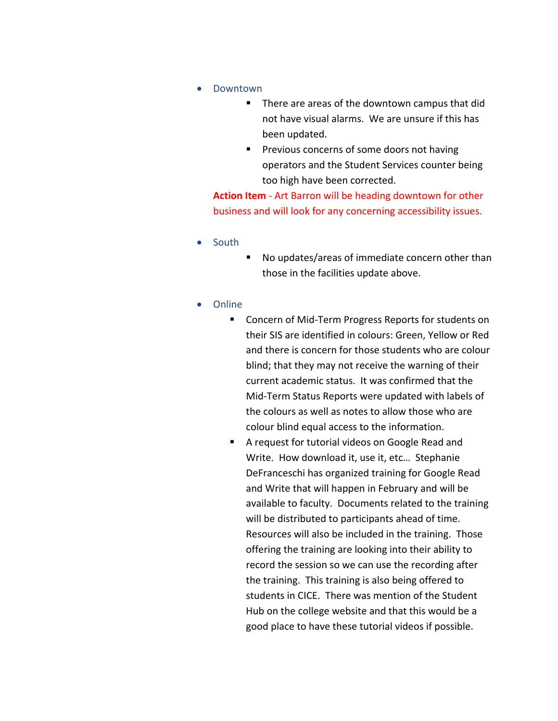- Downtown
	- There are areas of the downtown campus that did not have visual alarms. We are unsure if this has been updated.
	- Previous concerns of some doors not having operators and the Student Services counter being too high have been corrected.

**Action Item** - Art Barron will be heading downtown for other business and will look for any concerning accessibility issues.

- South
- No updates/areas of immediate concern other than those in the facilities update above.
- Online
	- Concern of Mid-Term Progress Reports for students on their SIS are identified in colours: Green, Yellow or Red and there is concern for those students who are colour blind; that they may not receive the warning of their current academic status. It was confirmed that the Mid-Term Status Reports were updated with labels of the colours as well as notes to allow those who are colour blind equal access to the information.
	- A request for tutorial videos on Google Read and Write. How download it, use it, etc… Stephanie DeFranceschi has organized training for Google Read and Write that will happen in February and will be available to faculty. Documents related to the training will be distributed to participants ahead of time. Resources will also be included in the training. Those offering the training are looking into their ability to record the session so we can use the recording after the training. This training is also being offered to students in CICE. There was mention of the Student Hub on the college website and that this would be a good place to have these tutorial videos if possible.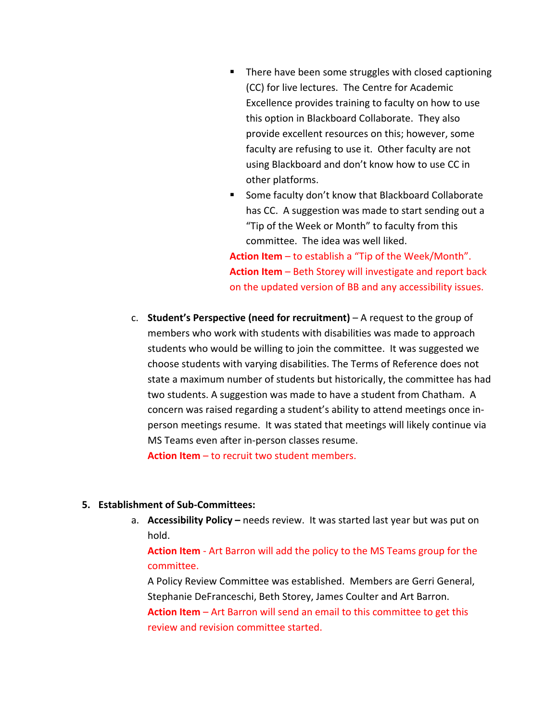- There have been some struggles with closed captioning (CC) for live lectures. The Centre for Academic Excellence provides training to faculty on how to use this option in Blackboard Collaborate. They also provide excellent resources on this; however, some faculty are refusing to use it. Other faculty are not using Blackboard and don't know how to use CC in other platforms.
- Some faculty don't know that Blackboard Collaborate has CC. A suggestion was made to start sending out a "Tip of the Week or Month" to faculty from this committee. The idea was well liked.

**Action Item** – to establish a "Tip of the Week/Month". **Action Item** – Beth Storey will investigate and report back on the updated version of BB and any accessibility issues.

c. **Student's Perspective (need for recruitment)** – A request to the group of members who work with students with disabilities was made to approach students who would be willing to join the committee. It was suggested we choose students with varying disabilities. The Terms of Reference does not state a maximum number of students but historically, the committee has had two students. A suggestion was made to have a student from Chatham. A concern was raised regarding a student's ability to attend meetings once inperson meetings resume. It was stated that meetings will likely continue via MS Teams even after in-person classes resume.

**Action Item** – to recruit two student members.

### **5. Establishment of Sub-Committees:**

a. **Accessibility Policy –** needs review. It was started last year but was put on hold.

**Action Item** - Art Barron will add the policy to the MS Teams group for the committee.

A Policy Review Committee was established. Members are Gerri General, Stephanie DeFranceschi, Beth Storey, James Coulter and Art Barron. **Action Item** – Art Barron will send an email to this committee to get this

review and revision committee started.